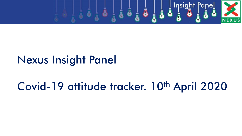

## Nexus Insight Panel

# Covid-19 attitude tracker. 10<sup>th</sup> April 2020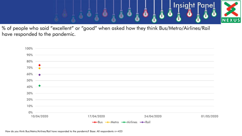

% of people who said "excellent" or "good" when asked how they think Bus/Metro/Airlines/Rail have responded to the pandemic.



How do you think Bus/Metro/Airlines/Rail have responded to the pandemic? Base: All respondents n=423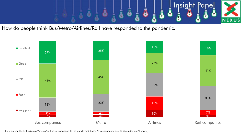

How do people think Bus/Metro/Airlines/Rail have responded to the pandemic.



How do you think Bus/Metro/Airlines/Rail have responded to the pandemic? Base: All respondents n=423 (Excludes don't knows)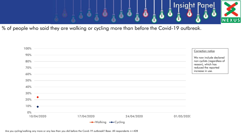

% of people who said they are walking or cycling more than before the Covid-19 outbreak.



Are you cycling/walking any more or any less than you did before the Covid-19 outbreak? Base: All respondents n=428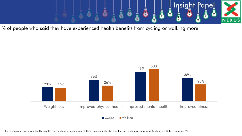

% of people who said they have experienced health benefits from cycling or walking more.



Have you experienced any health benefits from walking or cycling more? Base: Respondents who said they are walking/cycling more (walking n=104, Cycling n=39)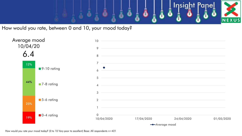

How would you rate, between 0 and 10, your mood today?



How would you rate your mood today? (0 to 10 Very poor to excellent) Base: All respondents n=421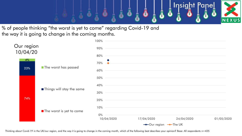

% of people thinking "the worst is yet to come" regarding Covid-19 and the way it is going to change in the coming months.

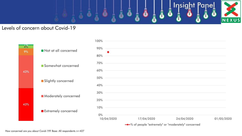

#### Levels of concern about Covid-19



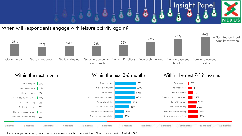

When will respondents engage with leisure activity again?





Given what you know today, when do you anticipate doing the following? Base: All respondents n=419 (Excludes N/A)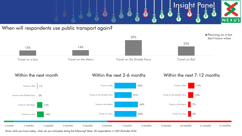

When will respondents use public transport again?





Given what you know today, when do you anticipate doing the following? Base: All respondents n=422 (Excludes N/A)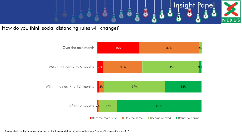

How do you think social distancing rules will change?



Given what you know today, how do you think social distancing rules will change? Base: All respondents n=417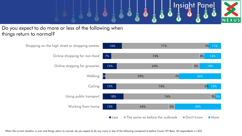

### Do you expect to do more or less of the following when things return to normal?

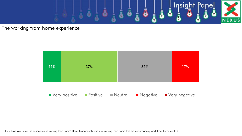

### The working from home experience



How have you found the experience of working from home? Base: Respondents who are working from home that did not previously work from home n=115